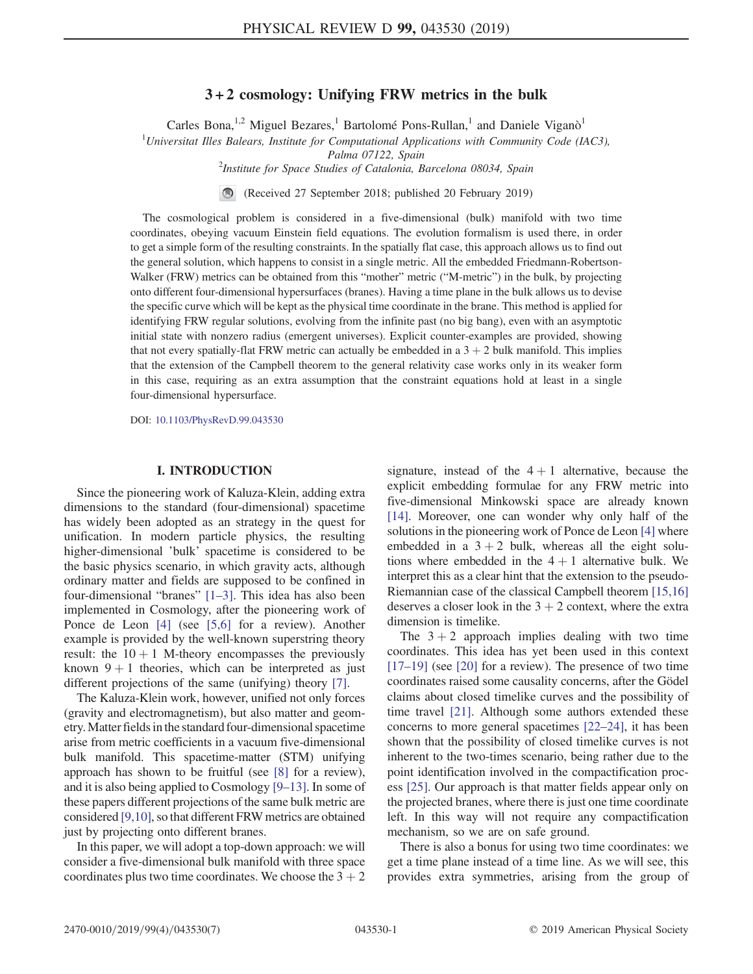## $3 + 2$  cosmology: Unifying FRW metrics in the bulk

Carles Bona,<sup>1,2</sup> Miguel Bezares,<sup>1</sup> Bartolomé Pons-Rullan,<sup>1</sup> and Daniele Viganò<sup>1</sup>

 $1$ Universitat Illes Balears, Institute for Computational Applications with Community Code (IAC3),

Palma 07122, Spain<br>Institute for Space Studies of Catalonia, Barcelona 08034, Spain<sup>2</sup>

(Received 27 September 2018; published 20 February 2019)

The cosmological problem is considered in a five-dimensional (bulk) manifold with two time coordinates, obeying vacuum Einstein field equations. The evolution formalism is used there, in order to get a simple form of the resulting constraints. In the spatially flat case, this approach allows us to find out the general solution, which happens to consist in a single metric. All the embedded Friedmann-Robertson-Walker (FRW) metrics can be obtained from this "mother" metric ("M-metric") in the bulk, by projecting onto different four-dimensional hypersurfaces (branes). Having a time plane in the bulk allows us to devise the specific curve which will be kept as the physical time coordinate in the brane. This method is applied for identifying FRW regular solutions, evolving from the infinite past (no big bang), even with an asymptotic initial state with nonzero radius (emergent universes). Explicit counter-examples are provided, showing that not every spatially-flat FRW metric can actually be embedded in a  $3 + 2$  bulk manifold. This implies that the extension of the Campbell theorem to the general relativity case works only in its weaker form in this case, requiring as an extra assumption that the constraint equations hold at least in a single four-dimensional hypersurface.

DOI: [10.1103/PhysRevD.99.043530](https://doi.org/10.1103/PhysRevD.99.043530)

#### **I. INTRODUCTION** I. INTRODUCTION

Since the pioneering work of Kaluza-Klein, adding extra dimensions to the standard (four-dimensional) spacetime has widely been adopted as an strategy in the quest for unification. In modern particle physics, the resulting higher-dimensional 'bulk' spacetime is considered to be the basic physics scenario, in which gravity acts, although ordinary matter and fields are supposed to be confined in four-dimensional "branes" [1–[3\].](#page-5-0) This idea has also been implemented in Cosmology, after the pioneering work of Ponce de Leon [\[4\]](#page-5-1) (see [\[5,6\]](#page-5-2) for a review). Another example is provided by the well-known superstring theory result: the  $10 + 1$  M-theory encompasses the previously known  $9 + 1$  theories, which can be interpreted as just different projections of the same (unifying) theory [\[7\]](#page-6-0).

The Kaluza-Klein work, however, unified not only forces (gravity and electromagnetism), but also matter and geometry.Matter fields in the standard four-dimensional spacetime arise from metric coefficients in a vacuum five-dimensional bulk manifold. This spacetime-matter (STM) unifying approach has shown to be fruitful (see [\[8\]](#page-6-1) for a review), and it is also being applied to Cosmology [9–[13\]](#page-6-2). In some of these papers different projections of the same bulk metric are considered [\[9,10\]](#page-6-2), so that different FRW metrics are obtained just by projecting onto different branes.

In this paper, we will adopt a top-down approach: we will consider a five-dimensional bulk manifold with three space coordinates plus two time coordinates. We choose the  $3 + 2$  signature, instead of the  $4 + 1$  alternative, because the explicit embedding formulae for any FRW metric into five-dimensional Minkowski space are already known [\[14\]](#page-6-3). Moreover, one can wonder why only half of the solutions in the pioneering work of Ponce de Leon [\[4\]](#page-5-1) where embedded in a  $3 + 2$  bulk, whereas all the eight solutions where embedded in the  $4 + 1$  alternative bulk. We interpret this as a clear hint that the extension to the pseudo-Riemannian case of the classical Campbell theorem [\[15,16\]](#page-6-4) deserves a closer look in the  $3 + 2$  context, where the extra dimension is timelike.

The  $3 + 2$  approach implies dealing with two time coordinates. This idea has yet been used in this context [\[17](#page-6-5)–19] (see [\[20\]](#page-6-6) for a review). The presence of two time coordinates raised some causality concerns, after the Gödel claims about closed timelike curves and the possibility of time travel [\[21\]](#page-6-7). Although some authors extended these concerns to more general spacetimes [22–[24\],](#page-6-8) it has been shown that the possibility of closed timelike curves is not inherent to the two-times scenario, being rather due to the point identification involved in the compactification process [\[25\].](#page-6-9) Our approach is that matter fields appear only on the projected branes, where there is just one time coordinate left. In this way will not require any compactification mechanism, so we are on safe ground.

There is also a bonus for using two time coordinates: we get a time plane instead of a time line. As we will see, this provides extra symmetries, arising from the group of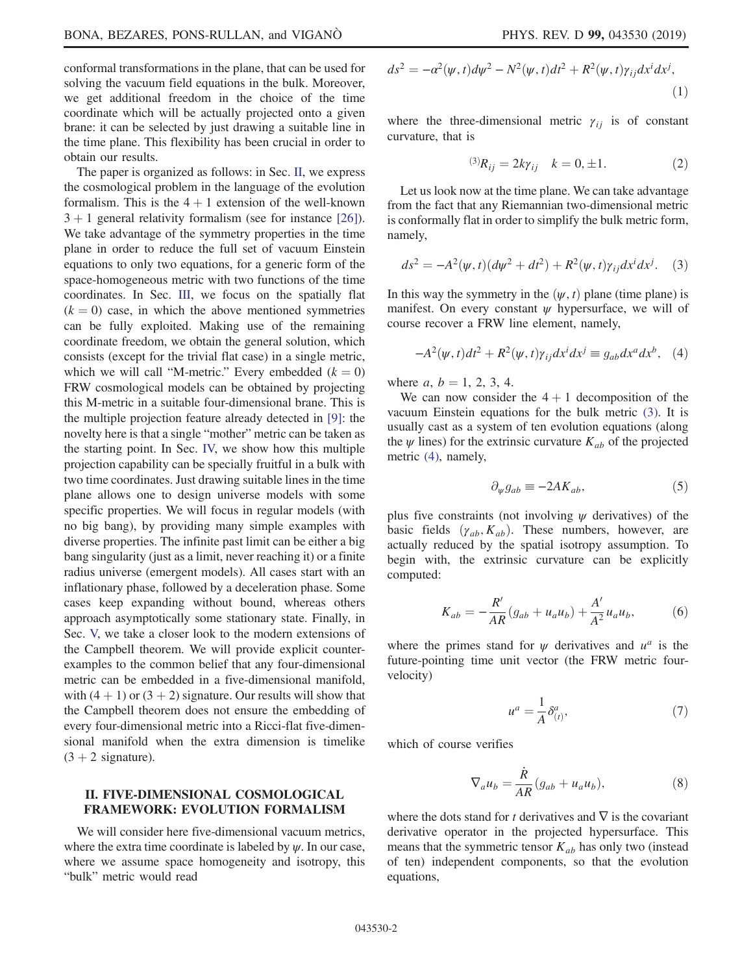conformal transformations in the plane, that can be used for solving the vacuum field equations in the bulk. Moreover, we get additional freedom in the choice of the time coordinate which will be actually projected onto a given brane: it can be selected by just drawing a suitable line in the time plane. This flexibility has been crucial in order to obtain our results.

The paper is organized as follows: in Sec. [II,](#page-1-0) we express the cosmological problem in the language of the evolution formalism. This is the  $4 + 1$  extension of the well-known  $3 + 1$  general relativity formalism (see for instance [\[26\]](#page-6-10)). We take advantage of the symmetry properties in the time plane in order to reduce the full set of vacuum Einstein equations to only two equations, for a generic form of the space-homogeneous metric with two functions of the time coordinates. In Sec. [III](#page-2-0), we focus on the spatially flat  $(k = 0)$  case, in which the above mentioned symmetries can be fully exploited. Making use of the remaining coordinate freedom, we obtain the general solution, which consists (except for the trivial flat case) in a single metric, which we will call "M-metric." Every embedded  $(k = 0)$ FRW cosmological models can be obtained by projecting this M-metric in a suitable four-dimensional brane. This is the multiple projection feature already detected in [\[9\]](#page-6-2): the novelty here is that a single "mother" metric can be taken as the starting point. In Sec. [IV,](#page-3-0) we show how this multiple projection capability can be specially fruitful in a bulk with two time coordinates. Just drawing suitable lines in the time plane allows one to design universe models with some specific properties. We will focus in regular models (with no big bang), by providing many simple examples with diverse properties. The infinite past limit can be either a big bang singularity (just as a limit, never reaching it) or a finite radius universe (emergent models). All cases start with an inflationary phase, followed by a deceleration phase. Some cases keep expanding without bound, whereas others approach asymptotically some stationary state. Finally, in Sec. [V,](#page-4-0) we take a closer look to the modern extensions of the Campbell theorem. We will provide explicit counterexamples to the common belief that any four-dimensional metric can be embedded in a five-dimensional manifold, with  $(4 + 1)$  or  $(3 + 2)$  signature. Our results will show that the Campbell theorem does not ensure the embedding of every four-dimensional metric into a Ricci-flat five-dimensional manifold when the extra dimension is timelike  $(3 + 2$  signature).

#### <span id="page-1-0"></span>II. FIVE-DIMENSIONAL COSMOLOGICAL FRAMEWORK: EVOLUTION FORMALISM

We will consider here five-dimensional vacuum metrics, where the extra time coordinate is labeled by  $\psi$ . In our case, where we assume space homogeneity and isotropy, this "bulk" metric would read

$$
ds2 = -\alpha2(\psi, t)d\psi2 - N2(\psi, t)dt2 + R2(\psi, t)\gamma_{ij}dxidxj,
$$
\n(1)

where the three-dimensional metric  $\gamma_{ij}$  is of constant curvature, that is

$$
^{(3)}R_{ij} = 2k\gamma_{ij} \quad k = 0, \pm 1. \tag{2}
$$

Let us look now at the time plane. We can take advantage from the fact that any Riemannian two-dimensional metric is conformally flat in order to simplify the bulk metric form, namely,

<span id="page-1-1"></span>
$$
ds^{2} = -A^{2}(\psi, t)(d\psi^{2} + dt^{2}) + R^{2}(\psi, t)\gamma_{ij}dx^{i}dx^{j}.
$$
 (3)

<span id="page-1-2"></span>In this way the symmetry in the  $(\psi, t)$  plane (time plane) is manifest. On every constant  $\psi$  hypersurface, we will of course recover a FRW line element, namely,

$$
-A^{2}(\psi, t)dt^{2} + R^{2}(\psi, t)\gamma_{ij}dx^{i}dx^{j} \equiv g_{ab}dx^{a}dx^{b}, \quad (4)
$$

where  $a, b = 1, 2, 3, 4$ .

We can now consider the  $4 + 1$  decomposition of the vacuum Einstein equations for the bulk metric [\(3\)](#page-1-1). It is usually cast as a system of ten evolution equations (along the  $\psi$  lines) for the extrinsic curvature  $K_{ab}$  of the projected metric [\(4\),](#page-1-2) namely,

$$
\partial_{\psi}g_{ab} \equiv -2AK_{ab},\tag{5}
$$

<span id="page-1-3"></span>plus five constraints (not involving  $\psi$  derivatives) of the basic fields  $(\gamma_{ab}, K_{ab})$ . These numbers, however, are actually reduced by the spatial isotropy assumption. To begin with, the extrinsic curvature can be explicitly computed:

$$
K_{ab} = -\frac{R'}{AR}(g_{ab} + u_a u_b) + \frac{A'}{A^2} u_a u_b,
$$
 (6)

where the primes stand for  $\psi$  derivatives and  $u^a$  is the future-pointing time unit vector (the FRW metric fourvelocity)

$$
u^a = \frac{1}{A} \delta^a_{(t)},\tag{7}
$$

which of course verifies

$$
\nabla_a u_b = \frac{\dot{R}}{AR} (g_{ab} + u_a u_b), \tag{8}
$$

<span id="page-1-4"></span>where the dots stand for t derivatives and  $\nabla$  is the covariant derivative operator in the projected hypersurface. This means that the symmetric tensor  $K_{ab}$  has only two (instead of ten) independent components, so that the evolution equations,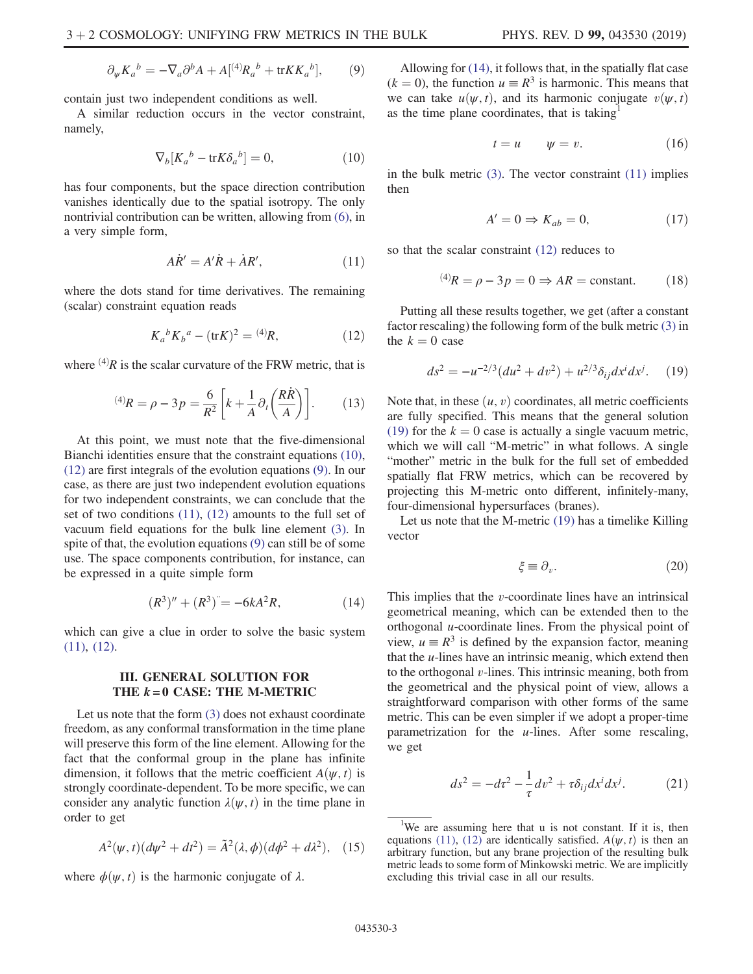$$
\partial_{\psi} K_a{}^b = -\nabla_a \partial^b A + A[^{(4)}R_a{}^b + \text{tr} K K_a{}^b], \qquad (9)
$$

contain just two independent conditions as well.

<span id="page-2-1"></span>A similar reduction occurs in the vector constraint, namely,

$$
\nabla_b[K_a{}^b - \text{tr}K\delta_a{}^b] = 0,\tag{10}
$$

<span id="page-2-3"></span>has four components, but the space direction contribution vanishes identically due to the spatial isotropy. The only nontrivial contribution can be written, allowing from [\(6\),](#page-1-3) in a very simple form,

$$
A\dot{R}' = A'\dot{R} + \dot{A}R',\tag{11}
$$

<span id="page-2-2"></span>where the dots stand for time derivatives. The remaining (scalar) constraint equation reads

$$
K_a{}^b K_b{}^a - (\text{tr} K)^2 = {}^{(4)}R,\tag{12}
$$

where  $(4)$ R is the scalar curvature of the FRW metric, that is

$$
^{(4)}R = \rho - 3p = \frac{6}{R^2} \left[ k + \frac{1}{A} \partial_t \left( \frac{R \dot{R}}{A} \right) \right].
$$
 (13)

At this point, we must note that the five-dimensional Bianchi identities ensure that the constraint equations [\(10\)](#page-2-1), [\(12\)](#page-2-2) are first integrals of the evolution equations [\(9\).](#page-1-4) In our case, as there are just two independent evolution equations for two independent constraints, we can conclude that the set of two conditions [\(11\)](#page-2-3), [\(12\)](#page-2-2) amounts to the full set of vacuum field equations for the bulk line element [\(3\)](#page-1-1). In spite of that, the evolution equations [\(9\)](#page-1-4) can still be of some use. The space components contribution, for instance, can be expressed in a quite simple form

$$
(R3)'' + (R3) = -6kA2R,
$$
 (14)

<span id="page-2-4"></span><span id="page-2-0"></span>which can give a clue in order to solve the basic system [\(11\)](#page-2-3), [\(12\).](#page-2-2)

# THE  $k = 0$  CASE: THE M-METRIC

Let us note that the form  $(3)$  does not exhaust coordinate freedom, as any conformal transformation in the time plane will preserve this form of the line element. Allowing for the fact that the conformal group in the plane has infinite dimension, it follows that the metric coefficient  $A(\psi, t)$  is strongly coordinate-dependent. To be more specific, we can consider any analytic function  $\lambda(\psi, t)$  in the time plane in order to get

$$
A^{2}(\psi, t)(d\psi^{2} + dt^{2}) = \tilde{A}^{2}(\lambda, \phi)(d\phi^{2} + d\lambda^{2}), \quad (15)
$$

where  $\phi(\psi, t)$  is the harmonic conjugate of  $\lambda$ .

Allowing for [\(14\)](#page-2-4), it follows that, in the spatially flat case  $(k = 0)$ , the function  $u \equiv R^3$  is harmonic. This means that we can take  $u(\psi, t)$ , and its harmonic conjugate  $v(\psi, t)$ as the time plane coordinates, that is taking $\frac{1}{2}$ 

$$
t = u \qquad \psi = v. \tag{16}
$$

in the bulk metric  $(3)$ . The vector constraint  $(11)$  implies then

$$
A' = 0 \Rightarrow K_{ab} = 0,\tag{17}
$$

so that the scalar constraint [\(12\)](#page-2-2) reduces to

$$
^{(4)}R = \rho - 3p = 0 \Rightarrow AR = \text{constant.} \tag{18}
$$

<span id="page-2-5"></span>Putting all these results together, we get (after a constant factor rescaling) the following form of the bulk metric [\(3\)](#page-1-1) in the  $k = 0$  case

$$
ds^{2} = -u^{-2/3}(du^{2} + dv^{2}) + u^{2/3}\delta_{ij}dx^{i}dx^{j}.
$$
 (19)

Note that, in these  $(u, v)$  coordinates, all metric coefficients are fully specified. This means that the general solution [\(19\)](#page-2-5) for the  $k = 0$  case is actually a single vacuum metric, which we will call "M-metric" in what follows. A single "mother" metric in the bulk for the full set of embedded spatially flat FRW metrics, which can be recovered by projecting this M-metric onto different, infinitely-many, four-dimensional hypersurfaces (branes).

Let us note that the M-metric [\(19\)](#page-2-5) has a timelike Killing vector

$$
\xi \equiv \partial_v. \tag{20}
$$

This implies that the v-coordinate lines have an intrinsical geometrical meaning, which can be extended then to the orthogonal  $u$ -coordinate lines. From the physical point of view,  $u \equiv R^3$  is defined by the expansion factor, meaning that the  $u$ -lines have an intrinsic meanig, which extend then to the orthogonal  $v$ -lines. This intrinsic meaning, both from the geometrical and the physical point of view, allows a straightforward comparison with other forms of the same metric. This can be even simpler if we adopt a proper-time parametrization for the  $u$ -lines. After some rescaling, we get

<span id="page-2-6"></span>
$$
ds^2 = -dt^2 - \frac{1}{\tau}dv^2 + \tau \delta_{ij}dx^i dx^j.
$$
 (21)

<sup>&</sup>lt;sup>1</sup>We are assuming here that u is not constant. If it is, then equations [\(11\)](#page-2-3), [\(12\)](#page-2-2) are identically satisfied.  $A(\psi, t)$  is then an arbitrary function, but any brane projection of the resulting bulk metric leads to some form of Minkowski metric. We are implicitly excluding this trivial case in all our results.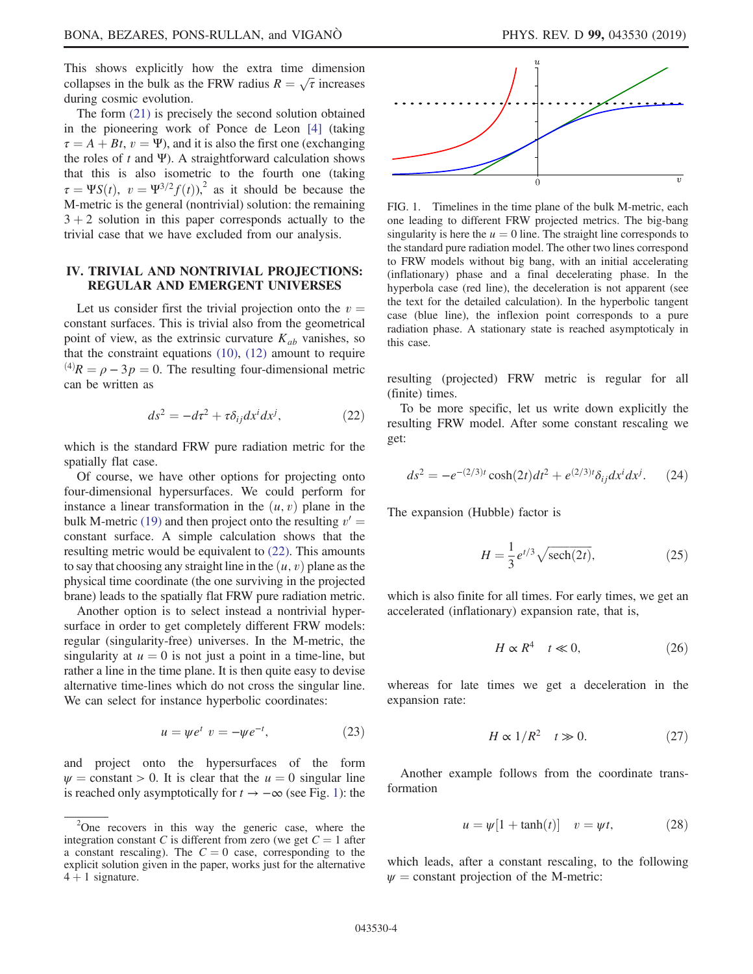This shows explicitly how the extra time dimension collapses in the bulk as the FRW radius  $R = \sqrt{\tau}$  increases during cosmic evolution.

The form [\(21\)](#page-2-6) is precisely the second solution obtained in the pioneering work of Ponce de Leon [\[4\]](#page-5-1) (taking  $\tau = A + Bt$ ,  $v = \Psi$ ), and it is also the first one (exchanging the roles of t and Ψ). A straightforward calculation shows that this is also isometric to the fourth one (taking  $\tau = \Psi S(t), v = \Psi^{3/2} f(t),^2$  as it should be because the M-metric is the general (nontrivial) solution: the remaining  $3 + 2$  solution in this paper corresponds actually to the trivial case that we have excluded from our analysis.

#### <span id="page-3-0"></span>IV. TRIVIAL AND NONTRIVIAL PROJECTIONS: REGULAR AND EMERGENT UNIVERSES

<span id="page-3-1"></span>Let us consider first the trivial projection onto the  $v =$ constant surfaces. This is trivial also from the geometrical point of view, as the extrinsic curvature  $K_{ab}$  vanishes, so that the constraint equations  $(10)$ ,  $(12)$  amount to require  $^{(4)}R = \rho - 3p = 0$ . The resulting four-dimensional metric can be written as

$$
ds^2 = -d\tau^2 + \tau \delta_{ij} dx^i dx^j, \qquad (22)
$$

which is the standard FRW pure radiation metric for the spatially flat case.

Of course, we have other options for projecting onto four-dimensional hypersurfaces. We could perform for instance a linear transformation in the  $(u, v)$  plane in the bulk M-metric [\(19\)](#page-2-5) and then project onto the resulting  $v' =$ constant surface. A simple calculation shows that the resulting metric would be equivalent to [\(22\)](#page-3-1). This amounts to say that choosing any straight line in the  $(u, v)$  plane as the physical time coordinate (the one surviving in the projected brane) leads to the spatially flat FRW pure radiation metric.

<span id="page-3-3"></span>Another option is to select instead a nontrivial hypersurface in order to get completely different FRW models: regular (singularity-free) universes. In the M-metric, the singularity at  $u = 0$  is not just a point in a time-line, but rather a line in the time plane. It is then quite easy to devise alternative time-lines which do not cross the singular line. We can select for instance hyperbolic coordinates:

$$
u = \psi e^t \ v = -\psi e^{-t}, \qquad (23)
$$

and project onto the hypersurfaces of the form  $\psi$  = constant > 0. It is clear that the  $u = 0$  singular line is reached only asymptotically for  $t \to -\infty$  (see Fig. [1\)](#page-3-2): the



<span id="page-3-2"></span>

FIG. 1. Timelines in the time plane of the bulk M-metric, each one leading to different FRW projected metrics. The big-bang singularity is here the  $u = 0$  line. The straight line corresponds to the standard pure radiation model. The other two lines correspond to FRW models without big bang, with an initial accelerating (inflationary) phase and a final decelerating phase. In the hyperbola case (red line), the deceleration is not apparent (see the text for the detailed calculation). In the hyperbolic tangent case (blue line), the inflexion point corresponds to a pure radiation phase. A stationary state is reached asymptoticaly in this case.

resulting (projected) FRW metric is regular for all (finite) times.

To be more specific, let us write down explicitly the resulting FRW model. After some constant rescaling we get:

$$
ds^{2} = -e^{-(2/3)t} \cosh(2t)dt^{2} + e^{(2/3)t} \delta_{ij} dx^{i} dx^{j}.
$$
 (24)

The expansion (Hubble) factor is

$$
H = \frac{1}{3} e^{t/3} \sqrt{\text{sech}(2t)},\tag{25}
$$

which is also finite for all times. For early times, we get an accelerated (inflationary) expansion rate, that is,

$$
H \propto R^4 \quad t \ll 0,\tag{26}
$$

<span id="page-3-4"></span>whereas for late times we get a deceleration in the expansion rate:

$$
H \propto 1/R^2 \quad t \gg 0. \tag{27}
$$

Another example follows from the coordinate transformation

$$
u = \psi[1 + \tanh(t)] \quad v = \psi t,\tag{28}
$$

which leads, after a constant rescaling, to the following  $\psi$  = constant projection of the M-metric:

 $2$ One recovers in this way the generic case, where the integration constant C is different from zero (we get  $C = 1$  after a constant rescaling). The  $C = 0$  case, corresponding to the explicit solution given in the paper, works just for the alternative  $4 + 1$  signature.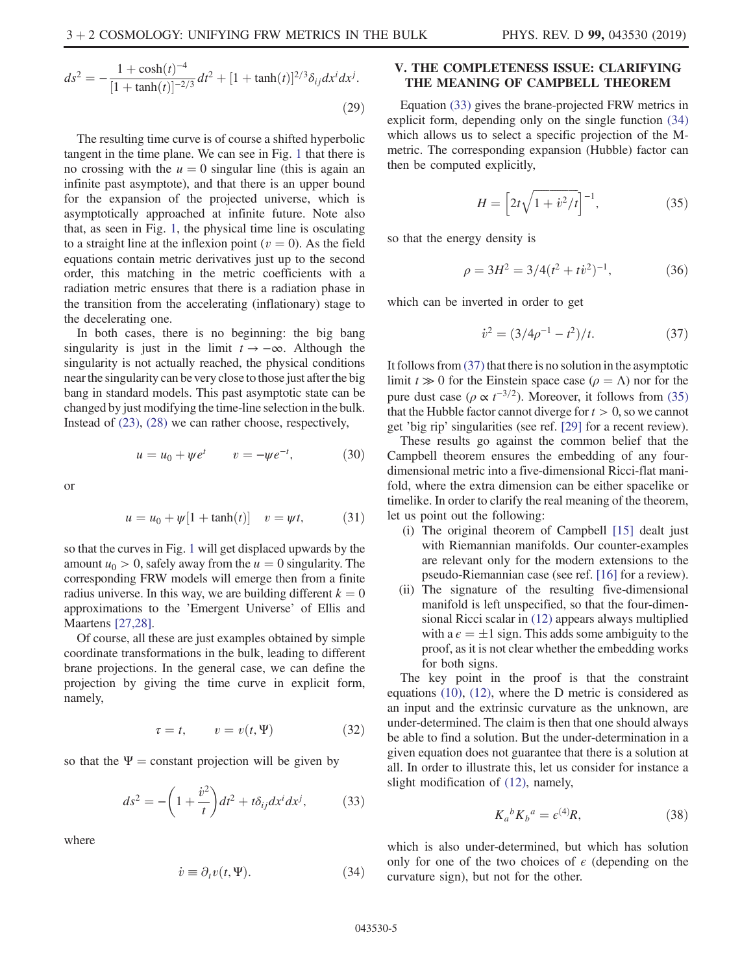$$
ds^{2} = -\frac{1 + \cosh(t)^{-4}}{[1 + \tanh(t)]^{-2/3}} dt^{2} + [1 + \tanh(t)]^{2/3} \delta_{ij} dx^{i} dx^{j}.
$$
\n(29)

The resulting time curve is of course a shifted hyperbolic tangent in the time plane. We can see in Fig. [1](#page-3-2) that there is no crossing with the  $u = 0$  singular line (this is again an infinite past asymptote), and that there is an upper bound for the expansion of the projected universe, which is asymptotically approached at infinite future. Note also that, as seen in Fig. [1,](#page-3-2) the physical time line is osculating to a straight line at the inflexion point ( $v = 0$ ). As the field equations contain metric derivatives just up to the second order, this matching in the metric coefficients with a radiation metric ensures that there is a radiation phase in the transition from the accelerating (inflationary) stage to the decelerating one.

In both cases, there is no beginning: the big bang singularity is just in the limit  $t \rightarrow -\infty$ . Although the singularity is not actually reached, the physical conditions near the singularity can be very close to those just after the big bang in standard models. This past asymptotic state can be changed by just modifying the time-line selection in the bulk. Instead of [\(23\)](#page-3-3), [\(28\)](#page-3-4) we can rather choose, respectively,

$$
u = u_0 + \psi e^t \qquad v = -\psi e^{-t}, \tag{30}
$$

or

$$
u = u_0 + \psi[1 + \tanh(t)]
$$
  $v = \psi t,$  (31)

so that the curves in Fig. [1](#page-3-2) will get displaced upwards by the amount  $u_0 > 0$ , safely away from the  $u = 0$  singularity. The corresponding FRW models will emerge then from a finite radius universe. In this way, we are building different  $k = 0$ approximations to the 'Emergent Universe' of Ellis and Maartens [\[27,28\]](#page-6-11).

Of course, all these are just examples obtained by simple coordinate transformations in the bulk, leading to different brane projections. In the general case, we can define the projection by giving the time curve in explicit form, namely,

$$
\tau = t, \qquad v = v(t, \Psi) \tag{32}
$$

<span id="page-4-1"></span>so that the  $\Psi$  = constant projection will be given by

$$
ds^2 = -\left(1 + \frac{\dot{v}^2}{t}\right)dt^2 + t\delta_{ij}dx^i dx^j, \tag{33}
$$

<span id="page-4-2"></span>where

$$
\dot{v} \equiv \partial_t v(t, \Psi). \tag{34}
$$

#### <span id="page-4-0"></span>V. THE COMPLETENESS ISSUE: CLARIFYING THE MEANING OF CAMPBELL THEOREM

<span id="page-4-4"></span>Equation [\(33\)](#page-4-1) gives the brane-projected FRW metrics in explicit form, depending only on the single function [\(34\)](#page-4-2) which allows us to select a specific projection of the Mmetric. The corresponding expansion (Hubble) factor can then be computed explicitly,

$$
H = \left[2t\sqrt{1 + \dot{v}^2/t}\right]^{-1},\tag{35}
$$

so that the energy density is

$$
\rho = 3H^2 = 3/4(t^2 + tv^2)^{-1},\tag{36}
$$

<span id="page-4-3"></span>which can be inverted in order to get

$$
\dot{v}^2 = (3/4\rho^{-1} - t^2)/t. \tag{37}
$$

It follows from [\(37\)](#page-4-3) that there is no solution in the asymptotic limit  $t \gg 0$  for the Einstein space case  $(\rho = \Lambda)$  nor for the pure dust case ( $\rho \propto t^{-3/2}$ ). Moreover, it follows from [\(35\)](#page-4-4) that the Hubble factor cannot diverge for  $t > 0$ , so we cannot get 'big rip' singularities (see ref. [\[29\]](#page-6-12) for a recent review).

These results go against the common belief that the Campbell theorem ensures the embedding of any fourdimensional metric into a five-dimensional Ricci-flat manifold, where the extra dimension can be either spacelike or timelike. In order to clarify the real meaning of the theorem, let us point out the following:

- (i) The original theorem of Campbell [\[15\]](#page-6-4) dealt just with Riemannian manifolds. Our counter-examples are relevant only for the modern extensions to the pseudo-Riemannian case (see ref. [\[16\]](#page-6-13) for a review).
- (ii) The signature of the resulting five-dimensional manifold is left unspecified, so that the four-dimensional Ricci scalar in [\(12\)](#page-2-2) appears always multiplied with a  $\epsilon = \pm 1$  sign. This adds some ambiguity to the proof, as it is not clear whether the embedding works for both signs.

The key point in the proof is that the constraint equations [\(10\),](#page-2-1) [\(12\)](#page-2-2), where the D metric is considered as an input and the extrinsic curvature as the unknown, are under-determined. The claim is then that one should always be able to find a solution. But the under-determination in a given equation does not guarantee that there is a solution at all. In order to illustrate this, let us consider for instance a slight modification of [\(12\),](#page-2-2) namely,

$$
K_a{}^b K_b{}^a = \epsilon^{(4)} R,\tag{38}
$$

which is also under-determined, but which has solution only for one of the two choices of  $\epsilon$  (depending on the curvature sign), but not for the other.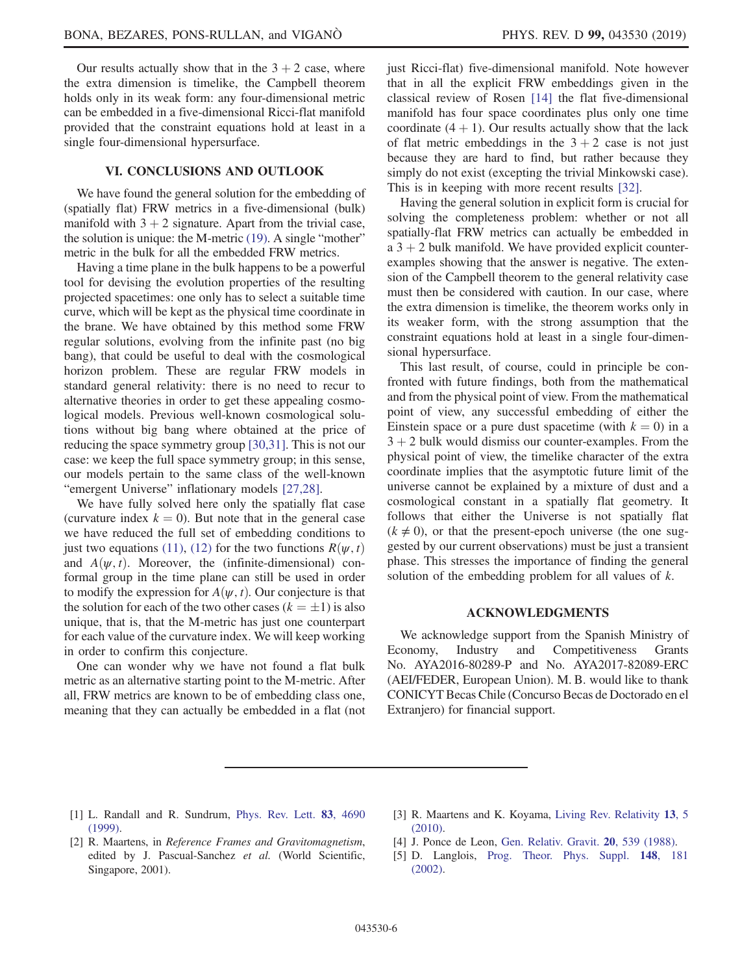Our results actually show that in the  $3 + 2$  case, where the extra dimension is timelike, the Campbell theorem holds only in its weak form: any four-dimensional metric can be embedded in a five-dimensional Ricci-flat manifold provided that the constraint equations hold at least in a single four-dimensional hypersurface.

#### VI. CONCLUSIONS AND OUTLOOK

We have found the general solution for the embedding of (spatially flat) FRW metrics in a five-dimensional (bulk) manifold with  $3 + 2$  signature. Apart from the trivial case, the solution is unique: the M-metric [\(19\)](#page-2-5). A single "mother" metric in the bulk for all the embedded FRW metrics.

Having a time plane in the bulk happens to be a powerful tool for devising the evolution properties of the resulting projected spacetimes: one only has to select a suitable time curve, which will be kept as the physical time coordinate in the brane. We have obtained by this method some FRW regular solutions, evolving from the infinite past (no big bang), that could be useful to deal with the cosmological horizon problem. These are regular FRW models in standard general relativity: there is no need to recur to alternative theories in order to get these appealing cosmological models. Previous well-known cosmological solutions without big bang where obtained at the price of reducing the space symmetry group [\[30,31\]](#page-6-14). This is not our case: we keep the full space symmetry group; in this sense, our models pertain to the same class of the well-known "emergent Universe" inflationary models [\[27,28\].](#page-6-11)

We have fully solved here only the spatially flat case (curvature index  $k = 0$ ). But note that in the general case we have reduced the full set of embedding conditions to just two equations [\(11\)](#page-2-3), [\(12\)](#page-2-2) for the two functions  $R(\psi, t)$ and  $A(\psi, t)$ . Moreover, the (infinite-dimensional) conformal group in the time plane can still be used in order to modify the expression for  $A(\psi, t)$ . Our conjecture is that the solution for each of the two other cases  $(k = \pm 1)$  is also unique, that is, that the M-metric has just one counterpart for each value of the curvature index. We will keep working in order to confirm this conjecture.

One can wonder why we have not found a flat bulk metric as an alternative starting point to the M-metric. After all, FRW metrics are known to be of embedding class one, meaning that they can actually be embedded in a flat (not just Ricci-flat) five-dimensional manifold. Note however that in all the explicit FRW embeddings given in the classical review of Rosen [\[14\]](#page-6-3) the flat five-dimensional manifold has four space coordinates plus only one time coordinate  $(4 + 1)$ . Our results actually show that the lack of flat metric embeddings in the  $3 + 2$  case is not just because they are hard to find, but rather because they simply do not exist (excepting the trivial Minkowski case). This is in keeping with more recent results [\[32\].](#page-6-15)

Having the general solution in explicit form is crucial for solving the completeness problem: whether or not all spatially-flat FRW metrics can actually be embedded in a  $3 + 2$  bulk manifold. We have provided explicit counterexamples showing that the answer is negative. The extension of the Campbell theorem to the general relativity case must then be considered with caution. In our case, where the extra dimension is timelike, the theorem works only in its weaker form, with the strong assumption that the constraint equations hold at least in a single four-dimensional hypersurface.

This last result, of course, could in principle be confronted with future findings, both from the mathematical and from the physical point of view. From the mathematical point of view, any successful embedding of either the Einstein space or a pure dust spacetime (with  $k = 0$ ) in a  $3 + 2$  bulk would dismiss our counter-examples. From the physical point of view, the timelike character of the extra coordinate implies that the asymptotic future limit of the universe cannot be explained by a mixture of dust and a cosmological constant in a spatially flat geometry. It follows that either the Universe is not spatially flat  $(k \neq 0)$ , or that the present-epoch universe (the one suggested by our current observations) must be just a transient phase. This stresses the importance of finding the general solution of the embedding problem for all values of  $k$ .

### ACKNOWLEDGMENTS

We acknowledge support from the Spanish Ministry of Economy, Industry and Competitiveness Grants No. AYA2016-80289-P and No. AYA2017-82089-ERC (AEI/FEDER, European Union). M. B. would like to thank CONICYT Becas Chile (Concurso Becas de Doctorado en el Extranjero) for financial support.

- <span id="page-5-0"></span>[1] L. Randall and R. Sundrum, [Phys. Rev. Lett.](https://doi.org/10.1103/PhysRevLett.83.4690) 83, 4690 [\(1999\).](https://doi.org/10.1103/PhysRevLett.83.4690)
- [2] R. Maartens, in Reference Frames and Gravitomagnetism, edited by J. Pascual-Sanchez et al. (World Scientific, Singapore, 2001).
- [3] R. Maartens and K. Koyama, [Living Rev. Relativity](https://doi.org/10.12942/lrr-2010-5) 13, 5 [\(2010\).](https://doi.org/10.12942/lrr-2010-5)
- <span id="page-5-1"></span>[4] J. Ponce de Leon, [Gen. Relativ. Gravit.](https://doi.org/10.1007/BF00758909) 20, 539 (1988).
- <span id="page-5-2"></span>[5] D. Langlois, [Prog. Theor. Phys. Suppl.](https://doi.org/10.1143/PTPS.148.181) 148, 181 [\(2002\).](https://doi.org/10.1143/PTPS.148.181)